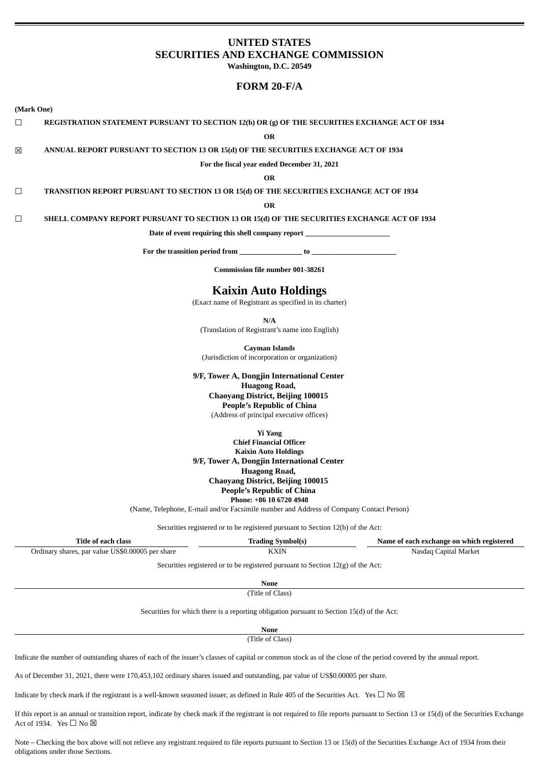# **UNITED STATES SECURITIES AND EXCHANGE COMMISSION**

**Washington, D.C. 20549**

## **FORM 20-F/A**

#### **(Mark One)**

|   | REGISTRATION STATEMENT PURSUANT TO SECTION 12(b) OR (g) OF THE SECURITIES EXCHANGE ACT OF 1934 |
|---|------------------------------------------------------------------------------------------------|
|   | <b>OR</b>                                                                                      |
| ⊠ | ANNUAL REPORT PURSUANT TO SECTION 13 OR 15(d) OF THE SECURITIES EXCHANGE ACT OF 1934           |
|   | For the fiscal year ended December 31, 2021                                                    |
|   | 0R                                                                                             |
|   | TRANSITION REPORT PURSUANT TO SECTION 13 OR 15(d) OF THE SECURITIES EXCHANGE ACT OF 1934       |
|   | OR                                                                                             |

☐ **SHELL COMPANY REPORT PURSUANT TO SECTION 13 OR 15(d) OF THE SECURITIES EXCHANGE ACT OF 1934**

**Date of event requiring this shell company report \_\_\_\_\_\_\_\_\_\_\_\_\_\_\_\_\_\_\_\_\_\_\_**

**For the transition period from \_\_\_\_\_\_\_\_\_\_\_\_\_\_\_\_\_ to \_\_\_\_\_\_\_\_\_\_\_\_\_\_\_\_\_\_\_\_\_\_\_**

**Commission file number 001-38261**

## **Kaixin Auto Holdings**

(Exact name of Registrant as specified in its charter)

**N/A** (Translation of Registrant's name into English)

**Cayman Islands** (Jurisdiction of incorporation or organization)

#### **9/F, Tower A, Dongjin International Center**

**Huagong Road, Chaoyang District, Beijing 100015 People's Republic of China** (Address of principal executive offices)

**Yi Yang**

**Chief Financial Officer Kaixin Auto Holdings 9/F, Tower A, Dongjin International Center Huagong Road, Chaoyang District, Beijing 100015 People's Republic of China Phone: +86 10 6720 4948**

(Name, Telephone, E-mail and/or Facsimile number and Address of Company Contact Person)

Securities registered or to be registered pursuant to Section 12(b) of the Act:

**Title of each class Trading Symbol(s) Name of each exchange on which registered**

Ordinary shares, par value US\$0.00005 per share **NASH READING CORPORT CONTROL** Nasdaq Capital Market

Securities registered or to be registered pursuant to Section 12(g) of the Act:

**None**

(Title of Class)

Securities for which there is a reporting obligation pursuant to Section 15(d) of the Act:

**None**

(Title of Class)

Indicate the number of outstanding shares of each of the issuer's classes of capital or common stock as of the close of the period covered by the annual report.

As of December 31, 2021, there were 170,453,102 ordinary shares issued and outstanding, par value of US\$0.00005 per share.

Indicate by check mark if the registrant is a well-known seasoned issuer, as defined in Rule 405 of the Securities Act. Yes  $\Box$  No  $\boxtimes$ 

If this report is an annual or transition report, indicate by check mark if the registrant is not required to file reports pursuant to Section 13 or 15(d) of the Securities Exchange Act of 1934. Yes  $\square$  No  $\square$ 

Note – Checking the box above will not relieve any registrant required to file reports pursuant to Section 13 or 15(d) of the Securities Exchange Act of 1934 from their obligations under those Sections.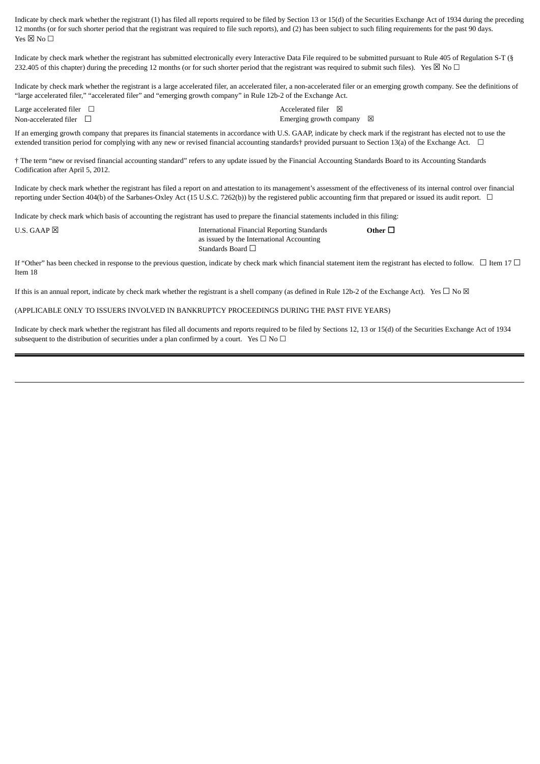Indicate by check mark whether the registrant (1) has filed all reports required to be filed by Section 13 or 15(d) of the Securities Exchange Act of 1934 during the preceding 12 months (or for such shorter period that the registrant was required to file such reports), and (2) has been subject to such filing requirements for the past 90 days. Yes  $\boxtimes$  No  $\square$ 

Indicate by check mark whether the registrant has submitted electronically every Interactive Data File required to be submitted pursuant to Rule 405 of Regulation S-T (§ 232.405 of this chapter) during the preceding 12 months (or for such shorter period that the registrant was required to submit such files). Yes  $\boxtimes$  No  $\Box$ 

Indicate by check mark whether the registrant is a large accelerated filer, an accelerated filer, a non-accelerated filer or an emerging growth company. See the definitions of "large accelerated filer," "accelerated filer" and "emerging growth company" in Rule 12b-2 of the Exchange Act.

Large accelerated filer □ and  $\Box$ 

Non-accelerated filer □ state of the state of the state of the state of the Emerging growth company ⊠

If an emerging growth company that prepares its financial statements in accordance with U.S. GAAP, indicate by check mark if the registrant has elected not to use the extended transition period for complying with any new or revised financial accounting standards† provided pursuant to Section 13(a) of the Exchange Act.  $\Box$ 

† The term "new or revised financial accounting standard" refers to any update issued by the Financial Accounting Standards Board to its Accounting Standards Codification after April 5, 2012.

Indicate by check mark whether the registrant has filed a report on and attestation to its management's assessment of the effectiveness of its internal control over financial reporting under Section 404(b) of the Sarbanes-Oxley Act (15 U.S.C. 7262(b)) by the registered public accounting firm that prepared or issued its audit report.  $\Box$ 

Indicate by check mark which basis of accounting the registrant has used to prepare the financial statements included in this filing:

U.S. GAAP  $\boxtimes$ as issued by the International Accounting Standards Board  $\Box$ Other<sup></sup> □

If "Other" has been checked in response to the previous question, indicate by check mark which financial statement item the registrant has elected to follow.  $\Box$  Item 17  $\Box$ Item 18

If this is an annual report, indicate by check mark whether the registrant is a shell company (as defined in Rule 12b-2 of the Exchange Act). Yes  $\Box$  No  $\boxtimes$ 

(APPLICABLE ONLY TO ISSUERS INVOLVED IN BANKRUPTCY PROCEEDINGS DURING THE PAST FIVE YEARS)

Indicate by check mark whether the registrant has filed all documents and reports required to be filed by Sections 12, 13 or 15(d) of the Securities Exchange Act of 1934 subsequent to the distribution of securities under a plan confirmed by a court. Yes  $\Box$  No  $\Box$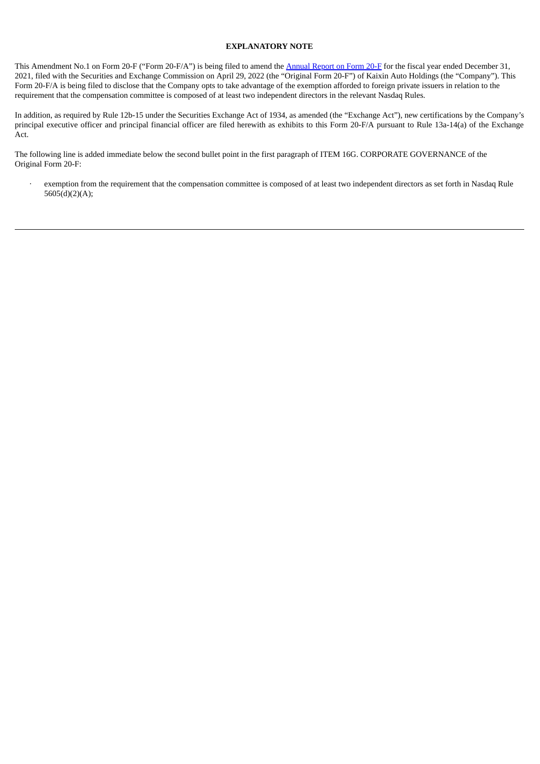## **EXPLANATORY NOTE**

This Amendment No.1 on Form 20-F ("Form 20-F/A") is being filed to amend the [Annual](https://www.sec.gov/ix?doc=/Archives/edgar/data/1713539/000110465921067017/kxin-20201231x20f.htm) Report on Form 20-F for the fiscal year ended December 31, 2021, filed with the Securities and Exchange Commission on April 29, 2022 (the "Original Form 20-F") of Kaixin Auto Holdings (the "Company"). This Form 20-F/A is being filed to disclose that the Company opts to take advantage of the exemption afforded to foreign private issuers in relation to the requirement that the compensation committee is composed of at least two independent directors in the relevant Nasdaq Rules.

In addition, as required by Rule 12b-15 under the Securities Exchange Act of 1934, as amended (the "Exchange Act"), new certifications by the Company's principal executive officer and principal financial officer are filed herewith as exhibits to this Form 20-F/A pursuant to Rule 13a-14(a) of the Exchange Act.

The following line is added immediate below the second bullet point in the first paragraph of ITEM 16G. CORPORATE GOVERNANCE of the Original Form 20-F:

exemption from the requirement that the compensation committee is composed of at least two independent directors as set forth in Nasdaq Rule 5605(d)(2)(A);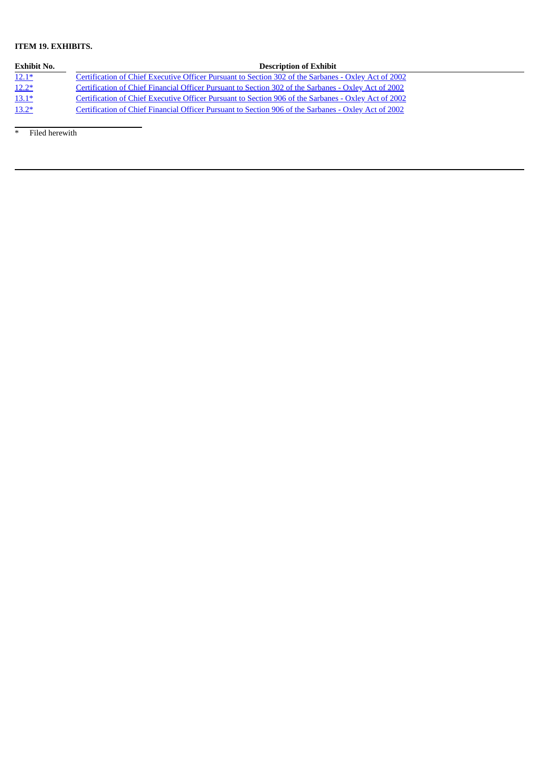## **ITEM 19. EXHIBITS.**

| <b>Exhibit No.</b> | <b>Description of Exhibit</b>                                                                        |
|--------------------|------------------------------------------------------------------------------------------------------|
| $12.1*$            | Certification of Chief Executive Officer Pursuant to Section 302 of the Sarbanes - Oxley Act of 2002 |
| $12.2*$            | Certification of Chief Financial Officer Pursuant to Section 302 of the Sarbanes - Oxley Act of 2002 |
| $13.1*$            | Certification of Chief Executive Officer Pursuant to Section 906 of the Sarbanes - Oxley Act of 2002 |
| $13.2*$            | Certification of Chief Financial Officer Pursuant to Section 906 of the Sarbanes - Oxley Act of 2002 |

\* Filed herewith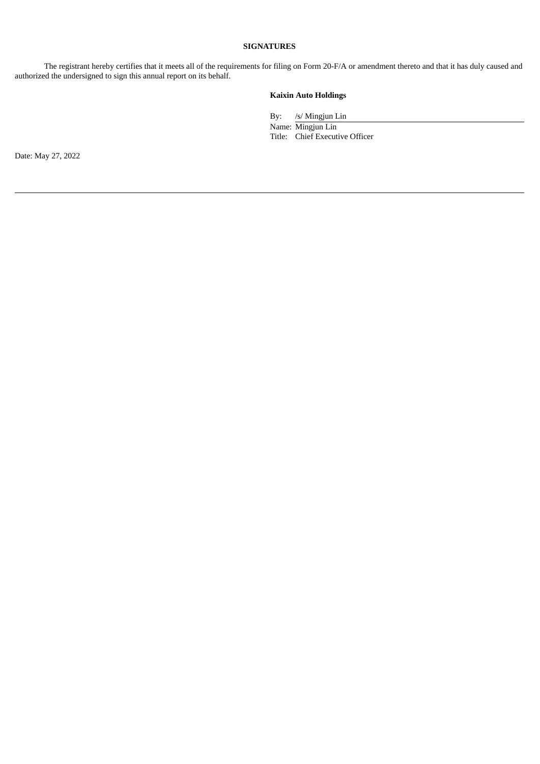## **SIGNATURES**

The registrant hereby certifies that it meets all of the requirements for filing on Form 20-F/A or amendment thereto and that it has duly caused and authorized the undersigned to sign this annual report on its behalf.

## **Kaixin Auto Holdings**

By: /s/ Mingjun Lin

Name: Mingjun Lin Title: Chief Executive Officer

Date: May 27, 2022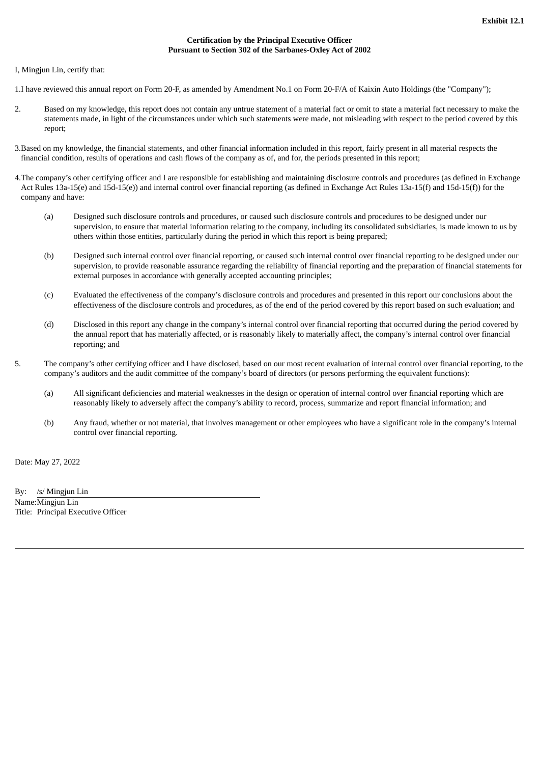## **Certification by the Principal Executive Officer Pursuant to Section 302 of the Sarbanes-Oxley Act of 2002**

<span id="page-5-0"></span>I, Mingjun Lin, certify that:

1.I have reviewed this annual report on Form 20-F, as amended by Amendment No.1 on Form 20-F/A of Kaixin Auto Holdings (the "Company");

- 2. Based on my knowledge, this report does not contain any untrue statement of a material fact or omit to state a material fact necessary to make the statements made, in light of the circumstances under which such statements were made, not misleading with respect to the period covered by this report;
- 3.Based on my knowledge, the financial statements, and other financial information included in this report, fairly present in all material respects the financial condition, results of operations and cash flows of the company as of, and for, the periods presented in this report;
- 4.The company's other certifying officer and I are responsible for establishing and maintaining disclosure controls and procedures (as defined in Exchange Act Rules 13a-15(e) and 15d-15(e)) and internal control over financial reporting (as defined in Exchange Act Rules 13a-15(f) and 15d-15(f)) for the company and have:
	- (a) Designed such disclosure controls and procedures, or caused such disclosure controls and procedures to be designed under our supervision, to ensure that material information relating to the company, including its consolidated subsidiaries, is made known to us by others within those entities, particularly during the period in which this report is being prepared;
	- (b) Designed such internal control over financial reporting, or caused such internal control over financial reporting to be designed under our supervision, to provide reasonable assurance regarding the reliability of financial reporting and the preparation of financial statements for external purposes in accordance with generally accepted accounting principles;
	- (c) Evaluated the effectiveness of the company's disclosure controls and procedures and presented in this report our conclusions about the effectiveness of the disclosure controls and procedures, as of the end of the period covered by this report based on such evaluation; and
	- (d) Disclosed in this report any change in the company's internal control over financial reporting that occurred during the period covered by the annual report that has materially affected, or is reasonably likely to materially affect, the company's internal control over financial reporting; and
- 5. The company's other certifying officer and I have disclosed, based on our most recent evaluation of internal control over financial reporting, to the company's auditors and the audit committee of the company's board of directors (or persons performing the equivalent functions):
	- (a) All significant deficiencies and material weaknesses in the design or operation of internal control over financial reporting which are reasonably likely to adversely affect the company's ability to record, process, summarize and report financial information; and
	- (b) Any fraud, whether or not material, that involves management or other employees who have a significant role in the company's internal control over financial reporting.

Date: May 27, 2022

By: /s/ Mingjun Lin Name:Mingjun Lin Title: Principal Executive Officer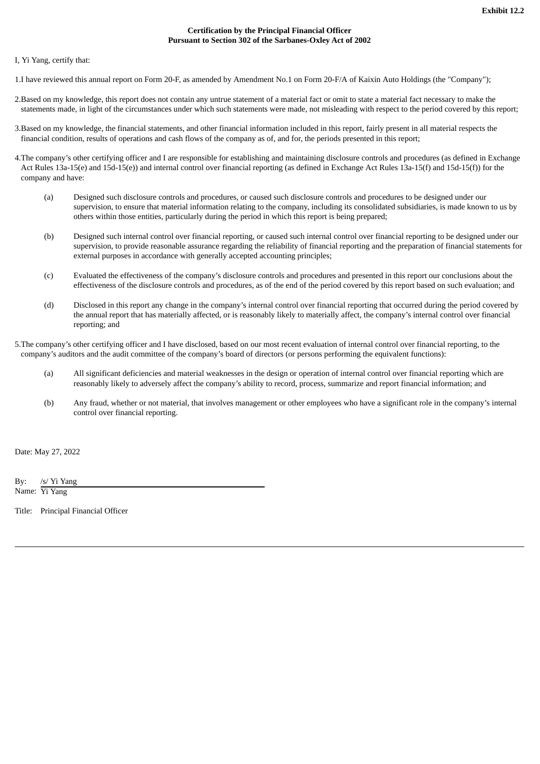### **Certification by the Principal Financial Officer Pursuant to Section 302 of the Sarbanes-Oxley Act of 2002**

<span id="page-6-0"></span>I, Yi Yang, certify that:

1.I have reviewed this annual report on Form 20-F, as amended by Amendment No.1 on Form 20-F/A of Kaixin Auto Holdings (the "Company");

- 2.Based on my knowledge, this report does not contain any untrue statement of a material fact or omit to state a material fact necessary to make the statements made, in light of the circumstances under which such statements were made, not misleading with respect to the period covered by this report;
- 3.Based on my knowledge, the financial statements, and other financial information included in this report, fairly present in all material respects the financial condition, results of operations and cash flows of the company as of, and for, the periods presented in this report;
- 4.The company's other certifying officer and I are responsible for establishing and maintaining disclosure controls and procedures (as defined in Exchange Act Rules 13a-15(e) and 15d-15(e)) and internal control over financial reporting (as defined in Exchange Act Rules 13a-15(f) and 15d-15(f)) for the company and have:
	- (a) Designed such disclosure controls and procedures, or caused such disclosure controls and procedures to be designed under our supervision, to ensure that material information relating to the company, including its consolidated subsidiaries, is made known to us by others within those entities, particularly during the period in which this report is being prepared;
	- (b) Designed such internal control over financial reporting, or caused such internal control over financial reporting to be designed under our supervision, to provide reasonable assurance regarding the reliability of financial reporting and the preparation of financial statements for external purposes in accordance with generally accepted accounting principles;
	- (c) Evaluated the effectiveness of the company's disclosure controls and procedures and presented in this report our conclusions about the effectiveness of the disclosure controls and procedures, as of the end of the period covered by this report based on such evaluation; and
	- (d) Disclosed in this report any change in the company's internal control over financial reporting that occurred during the period covered by the annual report that has materially affected, or is reasonably likely to materially affect, the company's internal control over financial reporting; and
- 5.The company's other certifying officer and I have disclosed, based on our most recent evaluation of internal control over financial reporting, to the company's auditors and the audit committee of the company's board of directors (or persons performing the equivalent functions):
	- (a) All significant deficiencies and material weaknesses in the design or operation of internal control over financial reporting which are reasonably likely to adversely affect the company's ability to record, process, summarize and report financial information; and
	- (b) Any fraud, whether or not material, that involves management or other employees who have a significant role in the company's internal control over financial reporting.

Date: May 27, 2022

By: /s/ Yi Yang Name: Yi Yang

Title: Principal Financial Officer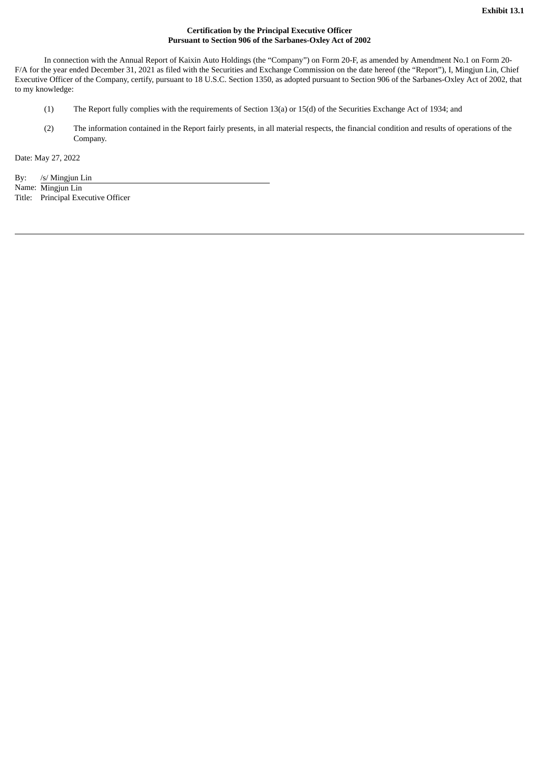### **Certification by the Principal Executive Officer Pursuant to Section 906 of the Sarbanes-Oxley Act of 2002**

<span id="page-7-0"></span>In connection with the Annual Report of Kaixin Auto Holdings (the "Company") on Form 20-F, as amended by Amendment No.1 on Form 20- F/A for the year ended December 31, 2021 as filed with the Securities and Exchange Commission on the date hereof (the "Report"), I, Mingjun Lin, Chief Executive Officer of the Company, certify, pursuant to 18 U.S.C. Section 1350, as adopted pursuant to Section 906 of the Sarbanes-Oxley Act of 2002, that to my knowledge:

- (1) The Report fully complies with the requirements of Section 13(a) or 15(d) of the Securities Exchange Act of 1934; and
- (2) The information contained in the Report fairly presents, in all material respects, the financial condition and results of operations of the Company.

Date: May 27, 2022

By: /s/ Mingjun Lin Name: Mingjun Lin

Title: Principal Executive Officer